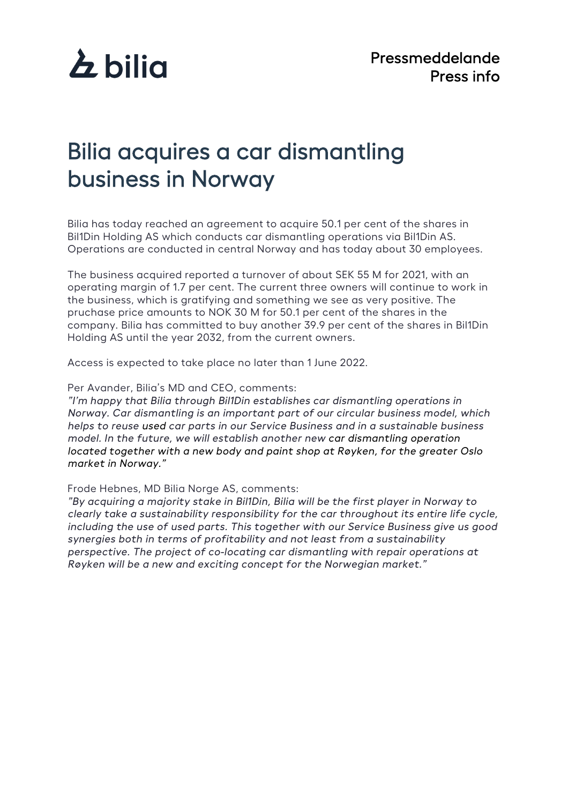

## Bilia acquires a car dismantling business in Norway

Bilia has today reached an agreement to acquire 50.1 per cent of the shares in Bil1Din Holding AS which conducts car dismantling operations via Bil1Din AS. Operations are conducted in central Norway and has today about 30 employees.

The business acquired reported a turnover of about SEK 55 M for 2021, with an operating margin of 1.7 per cent. The current three owners will continue to work in the business, which is gratifying and something we see as very positive. The pruchase price amounts to NOK 30 M for 50.1 per cent of the shares in the company. Bilia has committed to buy another 39.9 per cent of the shares in Bil1Din Holding AS until the year 2032, from the current owners.

Access is expected to take place no later than 1 June 2022.

Per Avander, Bilia's MD and CEO, comments:

*"I'm happy that Bilia through Bil1Din establishes car dismantling operations in Norway. Car dismantling is an important part of our circular business model, which helps to reuse used car parts in our Service Business and in a sustainable business model. In the future, we will establish another new car dismantling operation located together with a new body and paint shop at Røyken, for the greater Oslo market in Norway."*

Frode Hebnes, MD Bilia Norge AS, comments:

*"By acquiring a majority stake in Bil1Din, Bilia will be the first player in Norway to clearly take a sustainability responsibility for the car throughout its entire life cycle, including the use of used parts. This together with our Service Business give us good synergies both in terms of profitability and not least from a sustainability perspective. The project of co-locating car dismantling with repair operations at Røyken will be a new and exciting concept for the Norwegian market."*